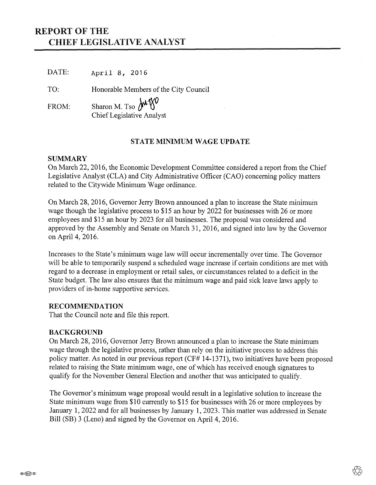# **REPORT OF THE CHIEF LEGISLATIVE ANALYST**

DATE: **April 8, 2016**

TO: Honorable Members of the City Council

FROM: Sharon M. Tso MW Chief Legislative Analyst

## **STATE MINIMUM WAGE UPDATE**

### **SUMMARY**

On March 22, 2016, the Economic Development Committee considered a report from the Chief Legislative Analyst (CLA) and City Administrative Officer (CAO) concerning policy matters related to the Citywide Minimum Wage ordinance.

On March 28, 2016, Governor Jerry Brown announced a plan to increase the State minimum wage though the legislative process to \$15 an hour by 2022 for businesses with 26 or more employees and \$15 an hour by 2023 for all businesses. The proposal was considered and approved by the Assembly and Senate on March 31, 2016, and signed into law by the Governor on April 4, 2016.

Increases to the State's minimum wage law will occur incrementally over time. The Governor will be able to temporarily suspend a scheduled wage increase if certain conditions are met with regard to a decrease in employment or retail sales, or circumstances related to a deficit in the State budget. The law also ensures that the minimum wage and paid sick leave laws apply to providers of in-home supportive services.

### **RECOMMENDATION**

That the Council note and file this report.

### **BACKGROUND**

On March 28, 2016, Governor Jerry Brown announced a plan to increase the State minimum wage through the legislative process, rather than rely on the initiative process to address this policy matter. As noted in our previous report (CF# 14-1371), two initiatives have been proposed related to raising the State minimum wage, one of which has received enough signatures to qualify for the November General Election and another that was anticipated to qualify.

The Governor's minimum wage proposal would result in a legislative solution to increase the State minimum wage from \$10 currently to \$15 for businesses with 26 or more employees by January 1, 2022 and for all businesses by January 1, 2023. This matter was addressed in Senate Bill (SB) 3 (Leno) and signed by the Governor on April 4, 2016.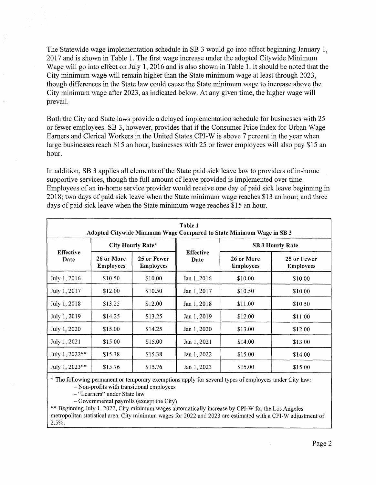The Statewide wage implementation schedule in SB 3 would go into effect beginning January 1, 2017 and is shown in Table 1. The first wage increase under the adopted Citywide Minimum Wage will go into effect on July 1, 2016 and is also shown in Table 1. It should be noted that the City minimum wage will remain higher than the State minimum wage at least through 2023, though differences in the State law could cause the State minimum wage to increase above the City minimum wage after 2023, as indicated below. At any given time, the higher wage will prevail.

Both the City and State laws provide a delayed implementation schedule for businesses with 25 or fewer employees. SB 3, however, provides that if the Consumer Price Index for Urban Wage Earners and Clerical Workers in the United States CPI-W is above 7 percent in the year when large businesses reach \$15 an hour, businesses with 25 or fewer employees will also pay \$15 an hour.

In addition, SB 3 applies all elements of the State paid sick leave law to providers of in-home supportive services, though the full amount of leave provided is implemented over time. Employees of an in-home service provider would receive one day of paid sick leave beginning in 2018; two days of paid sick leave when the State minimum wage reaches \$13 an hour; and three days of paid sick leave when the State minimum wage reaches \$15 an hour.

| Table 1<br>Adopted Citywide Minimum Wage Compared to State Minimum Wage in SB 3 |                                |                                 |                          |                                |                                 |
|---------------------------------------------------------------------------------|--------------------------------|---------------------------------|--------------------------|--------------------------------|---------------------------------|
| <b>Effective</b><br>Date                                                        | City Hourly Rate*              |                                 |                          | <b>SB 3 Hourly Rate</b>        |                                 |
|                                                                                 | 26 or More<br><b>Employees</b> | 25 or Fewer<br><b>Employees</b> | <b>Effective</b><br>Date | 26 or More<br><b>Employees</b> | 25 or Fewer<br><b>Employees</b> |
| July 1, 2016                                                                    | \$10.50                        | \$10.00                         | Jan 1, 2016              | \$10.00                        | \$10.00                         |
| July 1, 2017                                                                    | \$12.00                        | \$10.50                         | Jan 1, 2017              | \$10.50                        | \$10.00                         |
| July 1, 2018                                                                    | \$13.25                        | \$12.00                         | Jan 1, 2018              | \$11.00                        | \$10.50                         |
| July 1, 2019                                                                    | \$14.25                        | \$13.25                         | Jan 1, 2019              | \$12.00                        | \$11.00                         |
| July 1, 2020                                                                    | \$15.00                        | \$14.25                         | Jan 1, 2020              | \$13.00                        | \$12.00                         |
| July 1, 2021                                                                    | \$15.00                        | \$15.00                         | Jan 1, 2021              | \$14.00                        | \$13.00                         |
| July 1, 2022**                                                                  | \$15.38                        | \$15.38                         | Jan 1, 2022              | \$15.00                        | \$14.00                         |
| July 1, 2023**                                                                  | \$15.76                        | \$15.76                         | Jan 1, 2023              | \$15.00                        | \$15.00                         |

\* The following permanent or temporary exemptions apply for several types of employees under City law:

- Non-profits with transitional employees

- "Learners" under State law

 $-$  Governmental payrolls (except the City)

\*\* Beginning July 1, 2022, City minimum wages automatically increase by CPI-W for the Los Angeles metropolitan statistical area. City minimum wages for 2022 and 2023 are estimated with a CPI-W adjustment of 2.5%.